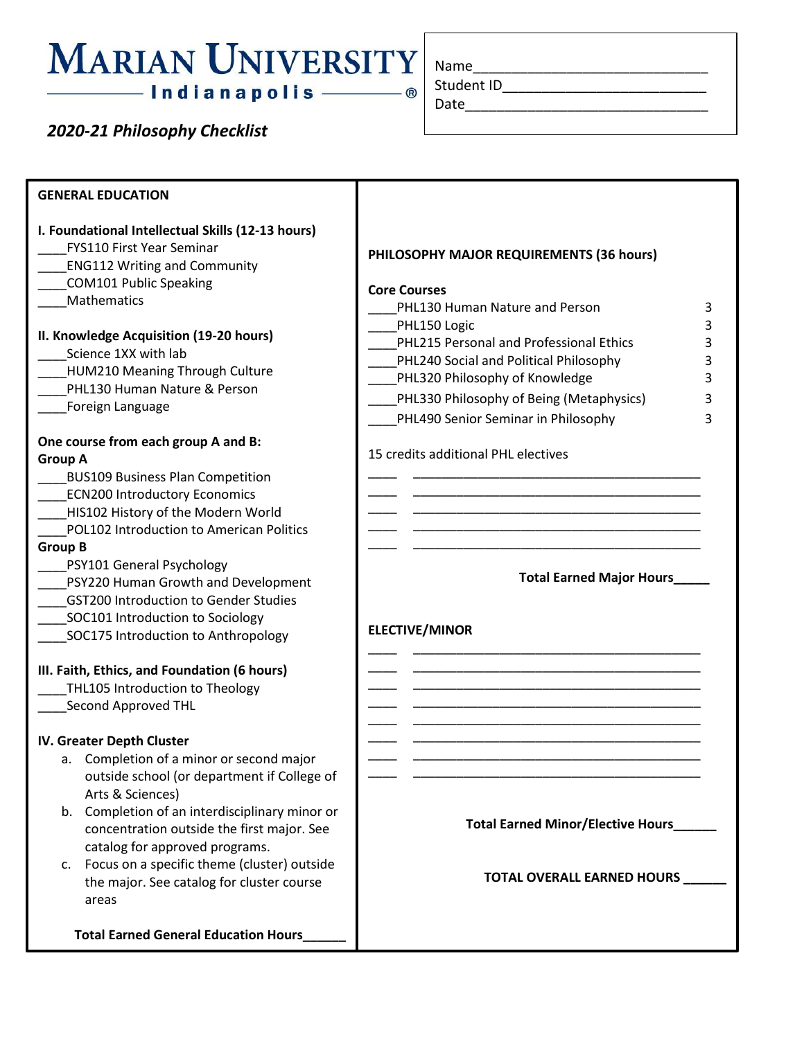## **MARIAN UNIVERSITY** - Indianapolis ———— ®

*2020-21 Philosophy Checklist*

| Name       |  |  |
|------------|--|--|
| Student ID |  |  |

Date

| <b>GENERAL EDUCATION</b>                                                                                                                                                                                                                                                                                                                                                                                                                                                                                                                              |                                                                                                                                                                                                                                                                   |
|-------------------------------------------------------------------------------------------------------------------------------------------------------------------------------------------------------------------------------------------------------------------------------------------------------------------------------------------------------------------------------------------------------------------------------------------------------------------------------------------------------------------------------------------------------|-------------------------------------------------------------------------------------------------------------------------------------------------------------------------------------------------------------------------------------------------------------------|
| I. Foundational Intellectual Skills (12-13 hours)<br>FYS110 First Year Seminar<br><b>ENG112 Writing and Community</b><br><b>COM101 Public Speaking</b><br>Mathematics<br>II. Knowledge Acquisition (19-20 hours)<br>Science 1XX with lab<br>HUM210 Meaning Through Culture<br>PHL130 Human Nature & Person                                                                                                                                                                                                                                            | PHILOSOPHY MAJOR REQUIREMENTS (36 hours)<br><b>Core Courses</b><br>PHL130 Human Nature and Person<br>3<br>PHL150 Logic<br>3<br>PHL215 Personal and Professional Ethics<br>3<br>PHL240 Social and Political Philosophy<br>3<br>PHL320 Philosophy of Knowledge<br>3 |
| Foreign Language                                                                                                                                                                                                                                                                                                                                                                                                                                                                                                                                      | PHL330 Philosophy of Being (Metaphysics)<br>3<br>PHL490 Senior Seminar in Philosophy<br>3                                                                                                                                                                         |
| One course from each group A and B:<br><b>Group A</b><br><b>BUS109 Business Plan Competition</b><br><b>ECN200 Introductory Economics</b><br>HIS102 History of the Modern World<br>POL102 Introduction to American Politics<br><b>Group B</b><br>PSY101 General Psychology<br>PSY220 Human Growth and Development<br><b>GST200 Introduction to Gender Studies</b><br>SOC101 Introduction to Sociology<br>SOC175 Introduction to Anthropology<br>III. Faith, Ethics, and Foundation (6 hours)<br>THL105 Introduction to Theology<br>Second Approved THL | 15 credits additional PHL electives<br><b>Total Earned Major Hours</b><br><b>ELECTIVE/MINOR</b>                                                                                                                                                                   |
| IV. Greater Depth Cluster<br>a. Completion of a minor or second major                                                                                                                                                                                                                                                                                                                                                                                                                                                                                 |                                                                                                                                                                                                                                                                   |
| outside school (or department if College of<br>Arts & Sciences)                                                                                                                                                                                                                                                                                                                                                                                                                                                                                       |                                                                                                                                                                                                                                                                   |
| b. Completion of an interdisciplinary minor or<br>concentration outside the first major. See<br>catalog for approved programs.                                                                                                                                                                                                                                                                                                                                                                                                                        | <b>Total Earned Minor/Elective Hours_</b>                                                                                                                                                                                                                         |
| c. Focus on a specific theme (cluster) outside<br>the major. See catalog for cluster course<br>areas                                                                                                                                                                                                                                                                                                                                                                                                                                                  | <b>TOTAL OVERALL EARNED HOURS</b>                                                                                                                                                                                                                                 |
| <b>Total Earned General Education Hours</b>                                                                                                                                                                                                                                                                                                                                                                                                                                                                                                           |                                                                                                                                                                                                                                                                   |